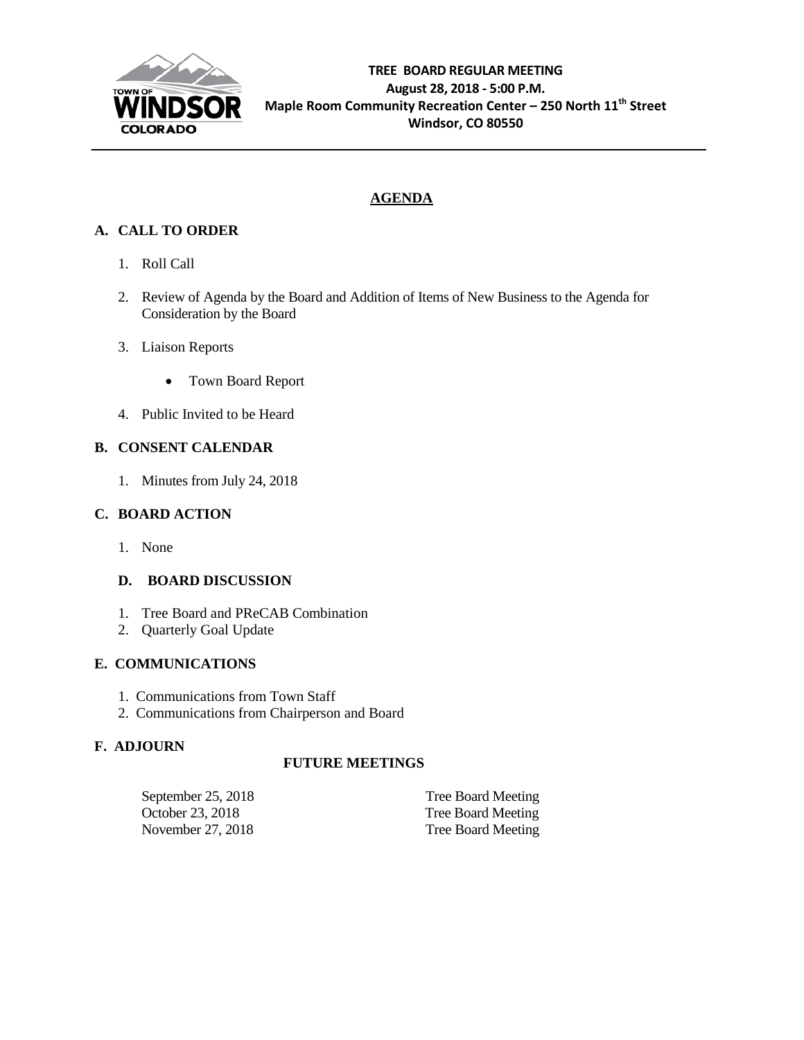

## **AGENDA**

## **A. CALL TO ORDER**

- 1. Roll Call
- 2. Review of Agenda by the Board and Addition of Items of New Business to the Agenda for Consideration by the Board
- 3. Liaison Reports
	- Town Board Report
- 4. Public Invited to be Heard

### **B. CONSENT CALENDAR**

1. Minutes from July 24, 2018

#### **C. BOARD ACTION**

1. None

#### **D. BOARD DISCUSSION**

- 1. Tree Board and PReCAB Combination
- 2. Quarterly Goal Update

#### **E. COMMUNICATIONS**

- 1. Communications from Town Staff
- 2. Communications from Chairperson and Board

#### **F. ADJOURN**

#### **FUTURE MEETINGS**

| September 25, 2018 | Tree Board Meeting |
|--------------------|--------------------|
| October 23, 2018   | Tree Board Meeting |
| November 27, 2018  | Tree Board Meeting |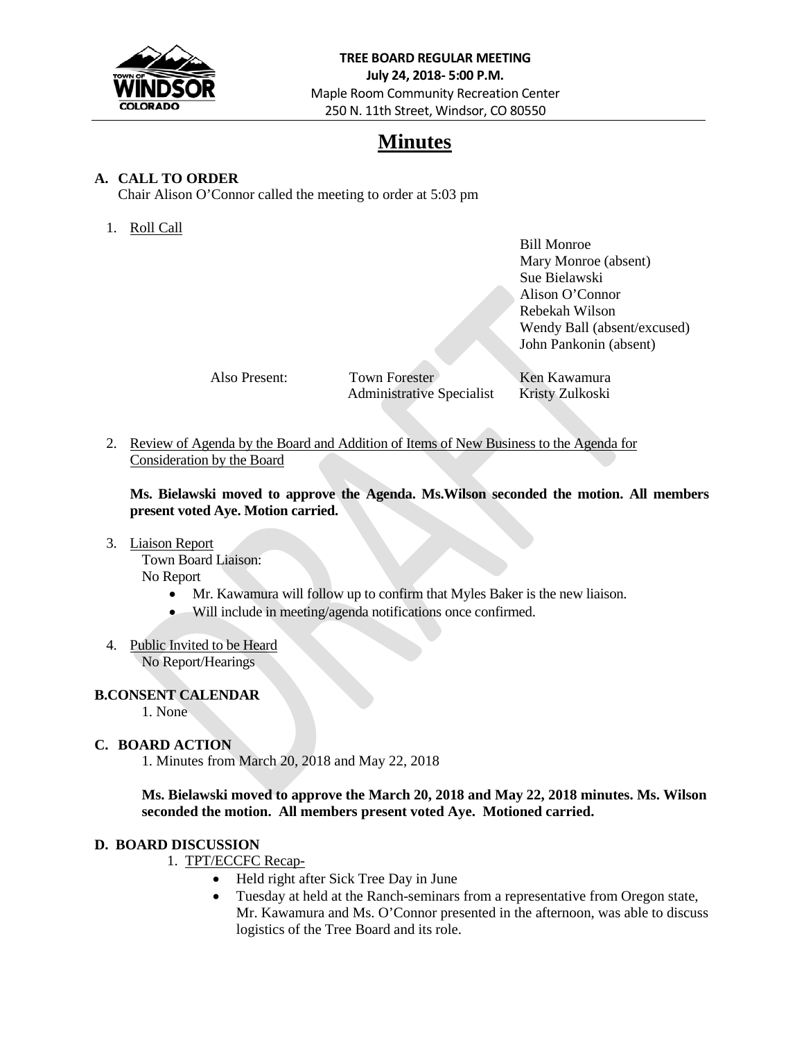

## **Minutes**

#### **A. CALL TO ORDER**

Chair Alison O'Connor called the meeting to order at 5:03 pm

1. Roll Call

Bill Monroe Mary Monroe (absent) Sue Bielawski Alison O'Connor Rebekah Wilson Wendy Ball (absent/excused) John Pankonin (absent)

Also Present: Town Forester Ken Kawamura Administrative Specialist Kristy Zulkoski

2. Review of Agenda by the Board and Addition of Items of New Business to the Agenda for Consideration by the Board

**Ms. Bielawski moved to approve the Agenda. Ms.Wilson seconded the motion. All members present voted Aye. Motion carried.**

3. Liaison Report

Town Board Liaison: No Report

- Mr. Kawamura will follow up to confirm that Myles Baker is the new liaison.
- Will include in meeting/agenda notifications once confirmed.
- 4. Public Invited to be Heard No Report/Hearings

#### **B.CONSENT CALENDAR**

1. None

#### **C. BOARD ACTION**

1. Minutes from March 20, 2018 and May 22, 2018

**Ms. Bielawski moved to approve the March 20, 2018 and May 22, 2018 minutes. Ms. Wilson seconded the motion. All members present voted Aye. Motioned carried.**

#### **D. BOARD DISCUSSION**

- 1. TPT/ECCFC Recap-
	- Held right after Sick Tree Day in June
	- Tuesday at held at the Ranch-seminars from a representative from Oregon state, Mr. Kawamura and Ms. O'Connor presented in the afternoon, was able to discuss logistics of the Tree Board and its role.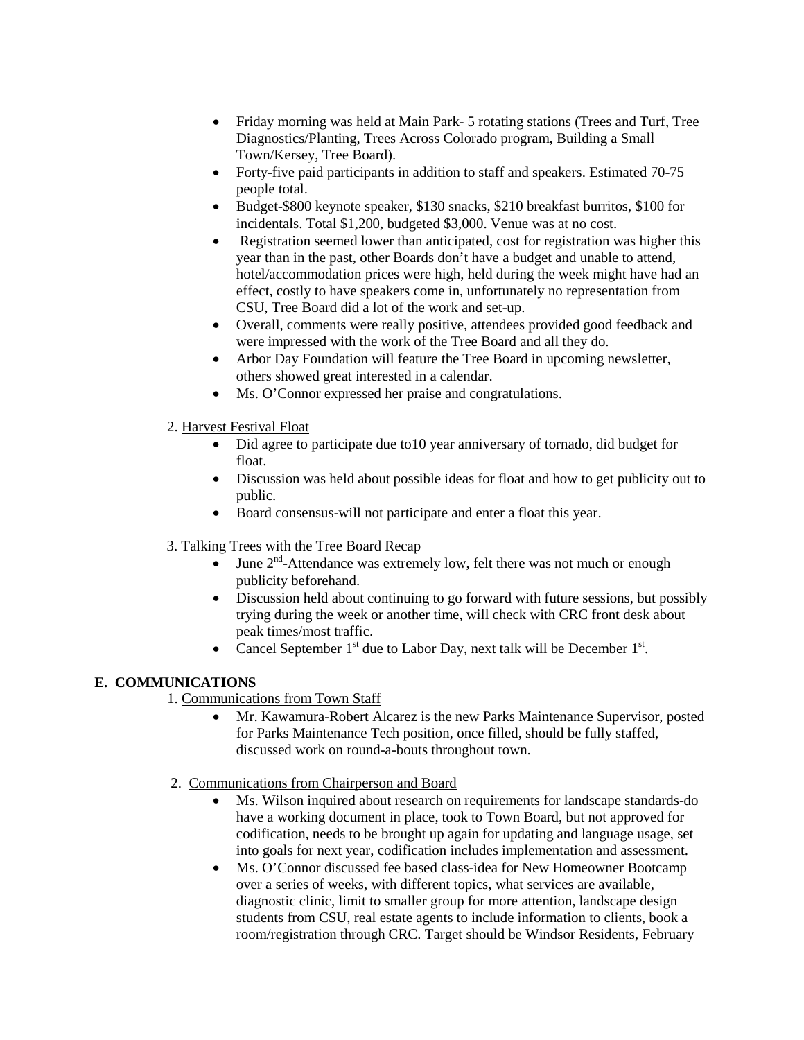- Friday morning was held at Main Park- 5 rotating stations (Trees and Turf, Tree Diagnostics/Planting, Trees Across Colorado program, Building a Small Town/Kersey, Tree Board).
- Forty-five paid participants in addition to staff and speakers. Estimated 70-75 people total.
- Budget-\$800 keynote speaker, \$130 snacks, \$210 breakfast burritos, \$100 for incidentals. Total \$1,200, budgeted \$3,000. Venue was at no cost.
- Registration seemed lower than anticipated, cost for registration was higher this year than in the past, other Boards don't have a budget and unable to attend, hotel/accommodation prices were high, held during the week might have had an effect, costly to have speakers come in, unfortunately no representation from CSU, Tree Board did a lot of the work and set-up.
- Overall, comments were really positive, attendees provided good feedback and were impressed with the work of the Tree Board and all they do.
- Arbor Day Foundation will feature the Tree Board in upcoming newsletter, others showed great interested in a calendar.
- Ms. O'Connor expressed her praise and congratulations.
- 2. Harvest Festival Float
	- Did agree to participate due to 10 year anniversary of tornado, did budget for float.
	- Discussion was held about possible ideas for float and how to get publicity out to public.
	- Board consensus-will not participate and enter a float this year.
- 3. Talking Trees with the Tree Board Recap
	- June  $2^{nd}$ -Attendance was extremely low, felt there was not much or enough publicity beforehand.
	- Discussion held about continuing to go forward with future sessions, but possibly trying during the week or another time, will check with CRC front desk about peak times/most traffic.
	- Cancel September  $1<sup>st</sup>$  due to Labor Day, next talk will be December  $1<sup>st</sup>$ .

#### **E. COMMUNICATIONS**

- 1. Communications from Town Staff
	- Mr. Kawamura-Robert Alcarez is the new Parks Maintenance Supervisor, posted for Parks Maintenance Tech position, once filled, should be fully staffed, discussed work on round-a-bouts throughout town.
- 2. Communications from Chairperson and Board
	- Ms. Wilson inquired about research on requirements for landscape standards-do have a working document in place, took to Town Board, but not approved for codification, needs to be brought up again for updating and language usage, set into goals for next year, codification includes implementation and assessment.
	- Ms. O'Connor discussed fee based class-idea for New Homeowner Bootcamp over a series of weeks, with different topics, what services are available, diagnostic clinic, limit to smaller group for more attention, landscape design students from CSU, real estate agents to include information to clients, book a room/registration through CRC. Target should be Windsor Residents, February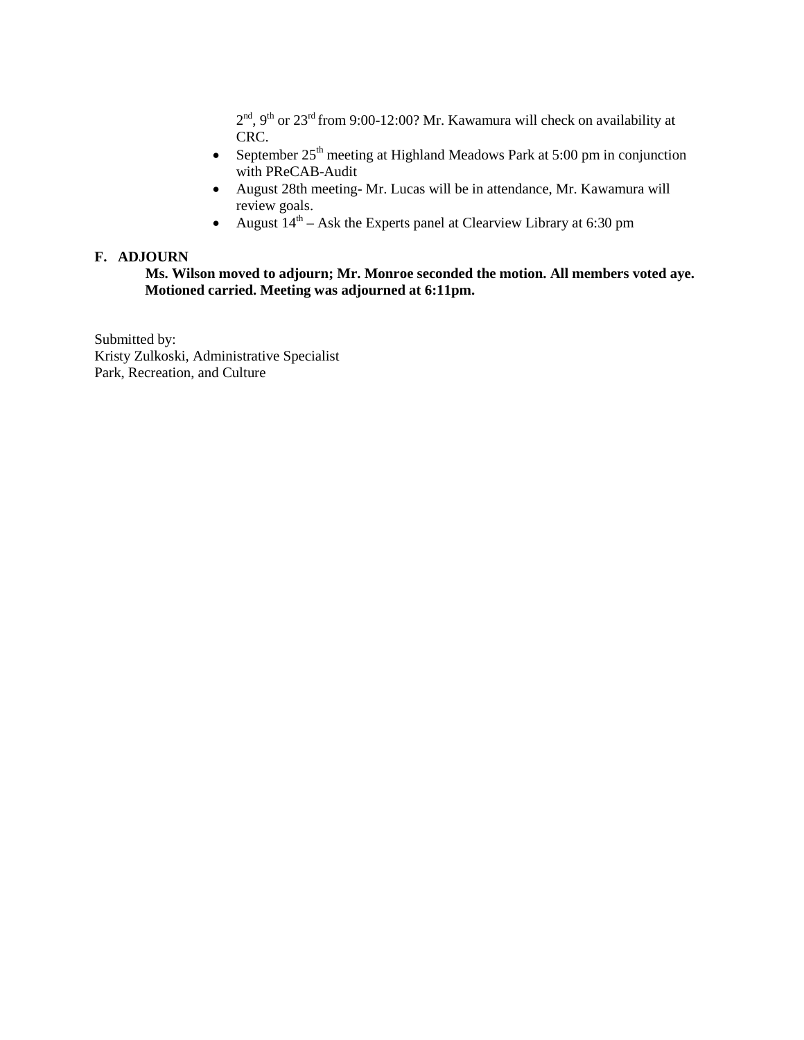$2<sup>nd</sup>$ , 9<sup>th</sup> or 23<sup>rd</sup> from 9:00-12:00? Mr. Kawamura will check on availability at CRC.

- September  $25<sup>th</sup>$  meeting at Highland Meadows Park at 5:00 pm in conjunction with PReCAB-Audit
- August 28th meeting- Mr. Lucas will be in attendance, Mr. Kawamura will review goals.
- August  $14<sup>th</sup>$  Ask the Experts panel at Clearview Library at 6:30 pm

#### **F. ADJOURN**

**Ms. Wilson moved to adjourn; Mr. Monroe seconded the motion. All members voted aye. Motioned carried. Meeting was adjourned at 6:11pm.**

Submitted by: Kristy Zulkoski, Administrative Specialist Park, Recreation, and Culture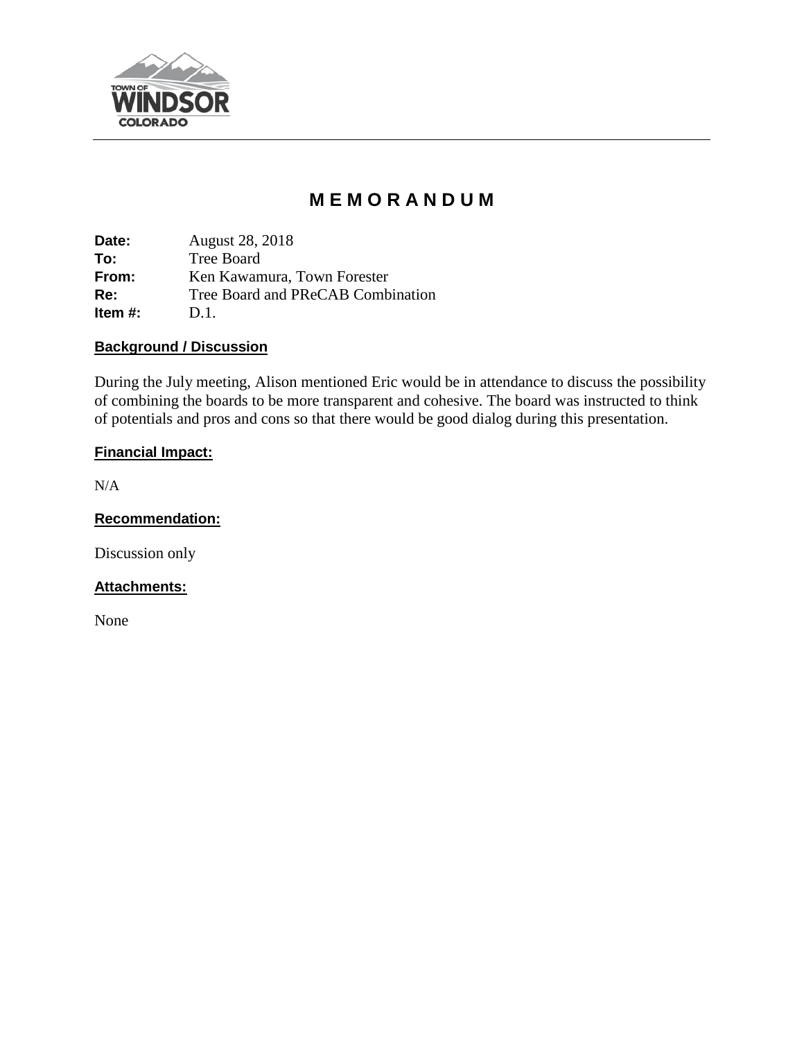

# **M E M O R A N D U M**

**Date:** August 28, 2018 **To:** Tree Board **From:** Ken Kawamura, Town Forester **Re:** Tree Board and PReCAB Combination **Item #:** D.1.

### **Background / Discussion**

During the July meeting, Alison mentioned Eric would be in attendance to discuss the possibility of combining the boards to be more transparent and cohesive. The board was instructed to think of potentials and pros and cons so that there would be good dialog during this presentation.

## **Financial Impact:**

N/A

**Recommendation:**

Discussion only

#### **Attachments:**

None